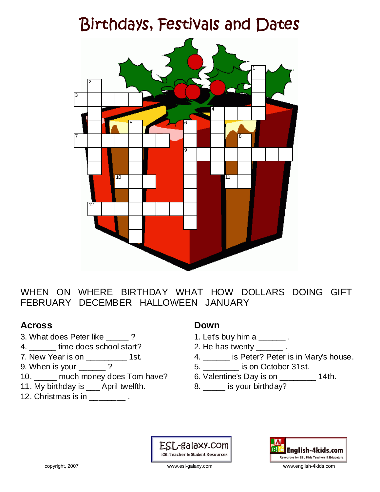# Birthdays, Festivals and Dates



WHEN ON WHERE BIRTHDAY WHAT HOW DOLLARS DOING GIFT FEBRUARY DECEMBER HALLOWEEN JANUARY

### **Across**

- 3. What does Peter like \_\_\_\_\_ ?
- 4. **defining time does school start?**
- 7. New Year is on \_\_\_\_\_\_\_\_\_ 1st.
- 9. When is your \_\_\_\_\_\_ ?
- 10. \_\_\_\_\_ much money does Tom have?
- 11. My birthday is \_\_\_ April twelfth.
- 12. Christmas is in Fig. 2.

### **Down**

- 1. Let's buy him a \_\_\_\_\_\_ .
- 2. He has twenty \_\_\_\_\_\_\_.
- 4. \_\_\_\_\_ is Peter? Peter is in Mary's house.
- 5. \_\_\_\_\_\_\_\_ is on October 31st.
- 6. Valentine's Day is on \_\_\_\_\_\_\_\_ 14th.
- 8. \_\_\_\_ is your birthday?

ESL-galaxy.com **ESL Teacher & Student Resources** 



copyright, 2007 www.esl-galaxy.com www.english-4kids.com